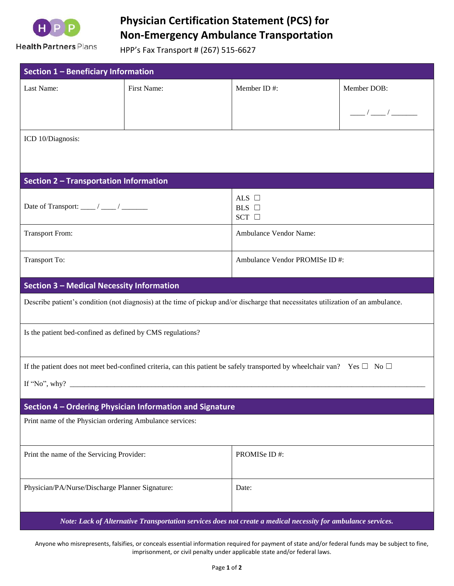

Health Partners Plans

## **Physician Certification Statement (PCS) for Non-Emergency Ambulance Transportation**

HPP's Fax Transport # (267) 515-6627

| Section 1 - Beneficiary Information                                                                                                |             |                                             |                      |
|------------------------------------------------------------------------------------------------------------------------------------|-------------|---------------------------------------------|----------------------|
| Last Name:                                                                                                                         | First Name: | Member ID#:                                 | Member DOB:          |
|                                                                                                                                    |             |                                             | $\frac{1}{\sqrt{2}}$ |
|                                                                                                                                    |             |                                             |                      |
| ICD 10/Diagnosis:                                                                                                                  |             |                                             |                      |
|                                                                                                                                    |             |                                             |                      |
| <b>Section 2 - Transportation Information</b>                                                                                      |             |                                             |                      |
|                                                                                                                                    |             | ALS $\Box$<br>$BLS$ $\square$<br>SCT $\Box$ |                      |
| <b>Transport From:</b>                                                                                                             |             | Ambulance Vendor Name:                      |                      |
| <b>Transport To:</b>                                                                                                               |             | Ambulance Vendor PROMISe ID#:               |                      |
| <b>Section 3 - Medical Necessity Information</b>                                                                                   |             |                                             |                      |
| Describe patient's condition (not diagnosis) at the time of pickup and/or discharge that necessitates utilization of an ambulance. |             |                                             |                      |
| Is the patient bed-confined as defined by CMS regulations?                                                                         |             |                                             |                      |
| If the patient does not meet bed-confined criteria, can this patient be safely transported by wheelchair van? Yes $\Box$ No $\Box$ |             |                                             |                      |
|                                                                                                                                    |             |                                             |                      |
| Section 4 - Ordering Physician Information and Signature                                                                           |             |                                             |                      |
| Print name of the Physician ordering Ambulance services:                                                                           |             |                                             |                      |
|                                                                                                                                    |             |                                             |                      |
| Print the name of the Servicing Provider:                                                                                          |             | PROMISe ID#:                                |                      |
| Physician/PA/Nurse/Discharge Planner Signature:                                                                                    |             | Date:                                       |                      |
| Note: Lack of Alternative Transportation services does not create a medical necessity for ambulance services.                      |             |                                             |                      |

Anyone who misrepresents, falsifies, or conceals essential information required for payment of state and/or federal funds may be subject to fine, imprisonment, or civil penalty under applicable state and/or federal laws.